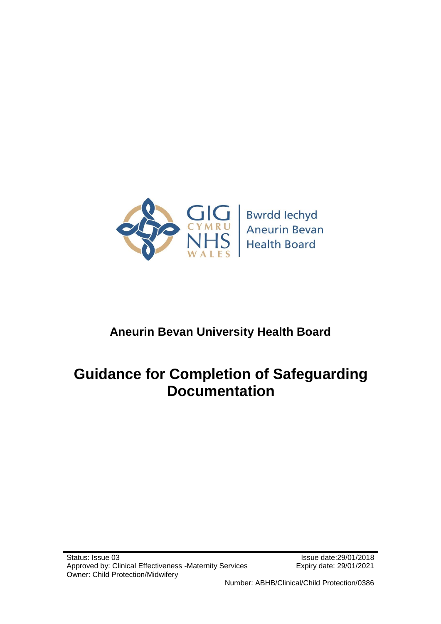

# **Aneurin Bevan University Health Board**

# **Guidance for Completion of Safeguarding Documentation**

Number: ABHB/Clinical/Child Protection/0386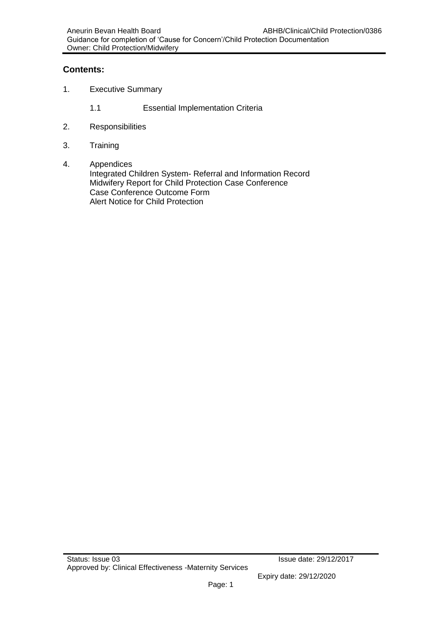# **Contents:**

- 1. Executive Summary
	- 1.1 Essential Implementation Criteria
- 2. Responsibilities
- 3. Training
- 4. Appendices

Integrated Children System- Referral and Information Record Midwifery Report for Child Protection Case Conference Case Conference Outcome Form Alert Notice for Child Protection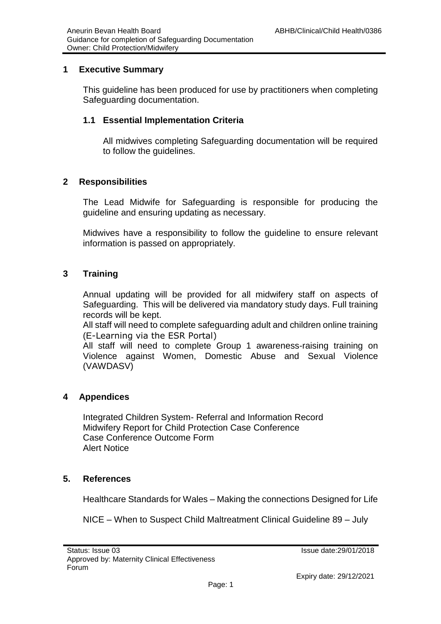## **1 Executive Summary**

This guideline has been produced for use by practitioners when completing Safeguarding documentation.

# **1.1 Essential Implementation Criteria**

All midwives completing Safeguarding documentation will be required to follow the guidelines.

## **2 Responsibilities**

The Lead Midwife for Safeguarding is responsible for producing the guideline and ensuring updating as necessary.

Midwives have a responsibility to follow the guideline to ensure relevant information is passed on appropriately.

## **3 Training**

Annual updating will be provided for all midwifery staff on aspects of Safeguarding. This will be delivered via mandatory study days. Full training records will be kept.

All staff will need to complete safeguarding adult and children online training (E-Learning via the ESR Portal)

All staff will need to complete Group 1 awareness-raising training on Violence against Women, Domestic Abuse and Sexual Violence (VAWDASV)

## **4 Appendices**

Integrated Children System- Referral and Information Record Midwifery Report for Child Protection Case Conference Case Conference Outcome Form Alert Notice

# **5. References**

Healthcare Standards for Wales – Making the connections Designed for Life

NICE – When to Suspect Child Maltreatment Clinical Guideline 89 – July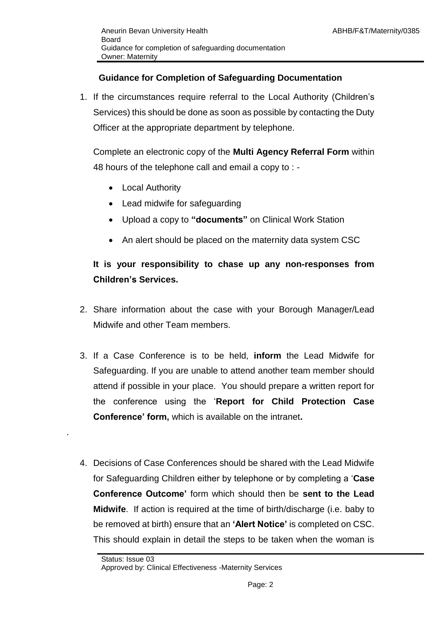# **Guidance for Completion of Safeguarding Documentation**

1. If the circumstances require referral to the Local Authority (Children's Services) this should be done as soon as possible by contacting the Duty Officer at the appropriate department by telephone.

Complete an electronic copy of the **Multi Agency Referral Form** within 48 hours of the telephone call and email a copy to : -

- Local Authority
- Lead midwife for safeguarding
- Upload a copy to **"documents"** on Clinical Work Station
- An alert should be placed on the maternity data system CSC

# **It is your responsibility to chase up any non-responses from Children's Services.**

- 2. Share information about the case with your Borough Manager/Lead Midwife and other Team members.
- 3. If a Case Conference is to be held, **inform** the Lead Midwife for Safeguarding. If you are unable to attend another team member should attend if possible in your place. You should prepare a written report for the conference using the '**Report for Child Protection Case Conference' form,** which is available on the intranet**.**
- 4. Decisions of Case Conferences should be shared with the Lead Midwife for Safeguarding Children either by telephone or by completing a '**Case Conference Outcome'** form which should then be **sent to the Lead Midwife**. If action is required at the time of birth/discharge (i.e. baby to be removed at birth) ensure that an **'Alert Notice'** is completed on CSC. This should explain in detail the steps to be taken when the woman is

.

Status: Issue 03

Approved by: Clinical Effectiveness -Maternity Services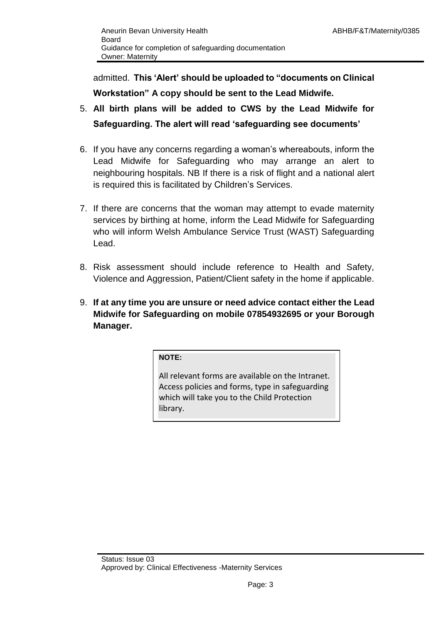admitted. **This 'Alert' should be uploaded to "documents on Clinical Workstation" A copy should be sent to the Lead Midwife.**

- 5. **All birth plans will be added to CWS by the Lead Midwife for Safeguarding. The alert will read 'safeguarding see documents'**
- 6. If you have any concerns regarding a woman's whereabouts, inform the Lead Midwife for Safeguarding who may arrange an alert to neighbouring hospitals. NB If there is a risk of flight and a national alert is required this is facilitated by Children's Services.
- 7. If there are concerns that the woman may attempt to evade maternity services by birthing at home, inform the Lead Midwife for Safeguarding who will inform Welsh Ambulance Service Trust (WAST) Safeguarding Lead.
- 8. Risk assessment should include reference to Health and Safety, Violence and Aggression, Patient/Client safety in the home if applicable.
- 9. **If at any time you are unsure or need advice contact either the Lead Midwife for Safeguarding on mobile 07854932695 or your Borough Manager.**

**NOTE:**

All relevant forms are available on the Intranet. Access policies and forms, type in safeguarding which will take you to the Child Protection library.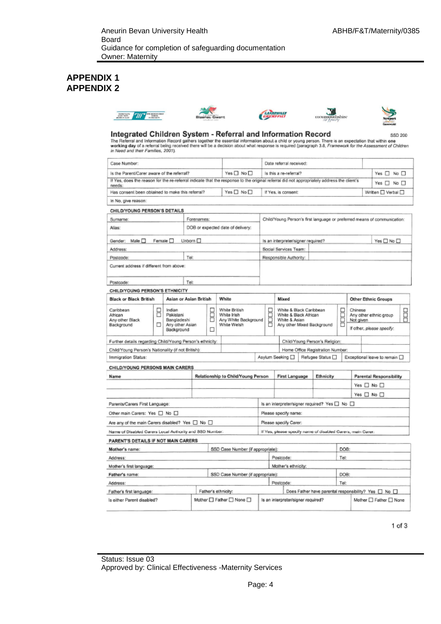## **APPENDIX 1 APPENDIX 2**











# Integrated Children System - Referral and Information Record<br>The Referral and Information Record gathers together the essential information about a child or young person. There is an expectation that within one<br>working day

| in Need and their Families, 2001).                                                                                                                   |        |                                                                     |                                                              |                     |                                                                     |                                                                                                           |                                                                      |                                                                          |                                                                             |                                                      |   |                      |                      |                                       |  |  |
|------------------------------------------------------------------------------------------------------------------------------------------------------|--------|---------------------------------------------------------------------|--------------------------------------------------------------|---------------------|---------------------------------------------------------------------|-----------------------------------------------------------------------------------------------------------|----------------------------------------------------------------------|--------------------------------------------------------------------------|-----------------------------------------------------------------------------|------------------------------------------------------|---|----------------------|----------------------|---------------------------------------|--|--|
| Case Number:                                                                                                                                         |        |                                                                     |                                                              |                     |                                                                     | Date referral received:                                                                                   |                                                                      |                                                                          |                                                                             |                                                      |   |                      |                      |                                       |  |  |
| Is the Parent/Carer aware of the referral?                                                                                                           |        |                                                                     |                                                              |                     | Yes□ No□                                                            |                                                                                                           |                                                                      | Is this a re-referral?                                                   |                                                                             |                                                      |   |                      |                      | Yes n No                              |  |  |
| If Yes, does the reason for the re-referral indicate that the response to the original referral did not appropriately address the client's<br>needs: |        |                                                                     |                                                              |                     |                                                                     |                                                                                                           |                                                                      |                                                                          |                                                                             |                                                      |   | Yes $\Box$ No $\Box$ |                      |                                       |  |  |
| Yes $\square$ No $\square$<br>Has consent been obtained to make this referral?                                                                       |        |                                                                     |                                                              |                     |                                                                     | If Yes, is consent:                                                                                       |                                                                      |                                                                          |                                                                             |                                                      |   | Written UVerbal      |                      |                                       |  |  |
| In No, give reason:                                                                                                                                  |        |                                                                     |                                                              |                     |                                                                     |                                                                                                           |                                                                      |                                                                          |                                                                             |                                                      |   |                      |                      |                                       |  |  |
| CHILD/YOUNG PERSON'S DETAILS                                                                                                                         |        |                                                                     |                                                              |                     |                                                                     |                                                                                                           |                                                                      |                                                                          |                                                                             |                                                      |   |                      |                      |                                       |  |  |
| Surname:                                                                                                                                             |        |                                                                     | Forenames:                                                   |                     |                                                                     |                                                                                                           |                                                                      | Child/Young Person's first language or preferred means of communication: |                                                                             |                                                      |   |                      |                      |                                       |  |  |
| Alias:                                                                                                                                               |        |                                                                     |                                                              |                     | DOB or expected date of delivery:                                   |                                                                                                           |                                                                      |                                                                          |                                                                             |                                                      |   |                      |                      |                                       |  |  |
| Male □<br>Gender:                                                                                                                                    |        | Female $\square$                                                    | Unborn $\square$                                             |                     |                                                                     |                                                                                                           |                                                                      | Is an interpreter/signer required?                                       |                                                                             |                                                      |   |                      |                      | Yes $\square$ No $\square$            |  |  |
| Address:                                                                                                                                             |        |                                                                     |                                                              |                     |                                                                     |                                                                                                           |                                                                      | Social Services Team:                                                    |                                                                             |                                                      |   |                      |                      |                                       |  |  |
| Postcode:                                                                                                                                            |        |                                                                     | Tel                                                          |                     |                                                                     |                                                                                                           |                                                                      | Responsible Authority:                                                   |                                                                             |                                                      |   |                      |                      |                                       |  |  |
| Current address if different from above:                                                                                                             |        |                                                                     |                                                              |                     |                                                                     |                                                                                                           |                                                                      |                                                                          |                                                                             |                                                      |   |                      |                      |                                       |  |  |
| Postcode:                                                                                                                                            |        |                                                                     | Tel:                                                         |                     |                                                                     |                                                                                                           |                                                                      |                                                                          |                                                                             |                                                      |   |                      |                      |                                       |  |  |
| CHILD/YOUNG PERSON'S ETHNICITY                                                                                                                       |        |                                                                     |                                                              |                     |                                                                     |                                                                                                           |                                                                      |                                                                          |                                                                             |                                                      |   |                      |                      |                                       |  |  |
| <b>Black or Black British</b>                                                                                                                        |        | Asian or Asian British                                              |                                                              |                     | White                                                               |                                                                                                           |                                                                      | Mixed                                                                    |                                                                             |                                                      |   |                      |                      | <b>Other Ethnic Groups</b>            |  |  |
| Caribbean<br>African<br>Any other Black<br>Background                                                                                                | 8<br>□ | Indian<br>Pakistani<br>Bangladeshi<br>Any other Asian<br>Background |                                                              | B<br>п              | White British<br>White Irish<br>Any White Background<br>White Welsh | White & Black Caribbean<br>8<br>White & Black African<br>Ē<br>White & Asian<br>Any other Mixed Background |                                                                      | Ë                                                                        | Chinese<br>Any other ethnic group<br>Not given<br>If other, please specify: |                                                      | B |                      |                      |                                       |  |  |
| Further details regarding Child/Young Person's ethnicity:                                                                                            |        |                                                                     |                                                              |                     |                                                                     |                                                                                                           |                                                                      |                                                                          |                                                                             | Child/Young Person's Religion:                       |   |                      |                      |                                       |  |  |
| Child/Young Person's Nationality (if not British):                                                                                                   |        |                                                                     |                                                              |                     |                                                                     |                                                                                                           |                                                                      |                                                                          |                                                                             | Home Office Registration Number:                     |   |                      |                      |                                       |  |  |
| Immigration Status:                                                                                                                                  |        |                                                                     |                                                              |                     |                                                                     |                                                                                                           |                                                                      | Asylum Seeking □                                                         |                                                                             | Refugee Status <sub>D</sub>                          |   |                      |                      | Exceptional leave to remain $\square$ |  |  |
| CHILD/YOUNG PERSONS MAIN CARERS                                                                                                                      |        |                                                                     |                                                              |                     |                                                                     |                                                                                                           |                                                                      |                                                                          |                                                                             |                                                      |   |                      |                      |                                       |  |  |
| Name                                                                                                                                                 |        |                                                                     |                                                              |                     | Relationship to Child/Young Person                                  |                                                                                                           | <b>First Language</b><br>Ethnicity<br><b>Parental Responsibility</b> |                                                                          |                                                                             |                                                      |   |                      |                      |                                       |  |  |
|                                                                                                                                                      |        |                                                                     |                                                              |                     |                                                                     |                                                                                                           |                                                                      |                                                                          |                                                                             |                                                      |   |                      |                      | Yes □ No □                            |  |  |
|                                                                                                                                                      |        |                                                                     |                                                              |                     |                                                                     |                                                                                                           |                                                                      |                                                                          |                                                                             |                                                      |   |                      | Yes $\Box$ No $\Box$ |                                       |  |  |
| Parents/Carers First Language:                                                                                                                       |        |                                                                     |                                                              |                     |                                                                     | Is an interpreter/signer required? Yes □ No □                                                             |                                                                      |                                                                          |                                                                             |                                                      |   |                      |                      |                                       |  |  |
| Other main Carers: Yes □ No □                                                                                                                        |        |                                                                     |                                                              |                     |                                                                     | Please specify name:                                                                                      |                                                                      |                                                                          |                                                                             |                                                      |   |                      |                      |                                       |  |  |
| Are any of the main Carers disabled? Yes $\Box$ No $\Box$                                                                                            |        |                                                                     |                                                              |                     |                                                                     | Please specify Carer:                                                                                     |                                                                      |                                                                          |                                                                             |                                                      |   |                      |                      |                                       |  |  |
| Name of Disabled Carers Local Authority and SSD Number.                                                                                              |        |                                                                     |                                                              |                     |                                                                     |                                                                                                           |                                                                      | If Yes, please specify name of disabled Carers, main Carer:              |                                                                             |                                                      |   |                      |                      |                                       |  |  |
| PARENT'S DETAILS IF NOT MAIN CARERS                                                                                                                  |        |                                                                     |                                                              |                     |                                                                     |                                                                                                           |                                                                      |                                                                          |                                                                             |                                                      |   |                      |                      |                                       |  |  |
| SSD Case Number (if appropriate):<br>Mother's name:                                                                                                  |        |                                                                     |                                                              | DOB:                |                                                                     |                                                                                                           |                                                                      |                                                                          |                                                                             |                                                      |   |                      |                      |                                       |  |  |
| Address:                                                                                                                                             |        |                                                                     |                                                              |                     |                                                                     | Postcode:                                                                                                 |                                                                      |                                                                          | Tel:                                                                        |                                                      |   |                      |                      |                                       |  |  |
| Mother's first language:                                                                                                                             |        |                                                                     |                                                              |                     |                                                                     | Mother's ethnicity:                                                                                       |                                                                      |                                                                          |                                                                             |                                                      |   |                      |                      |                                       |  |  |
| SSD Case Number (if appropriate):<br>Father's name:                                                                                                  |        |                                                                     |                                                              |                     |                                                                     |                                                                                                           |                                                                      |                                                                          | DOB:                                                                        |                                                      |   |                      |                      |                                       |  |  |
| Address:                                                                                                                                             |        |                                                                     |                                                              |                     |                                                                     | Postcode:                                                                                                 |                                                                      |                                                                          | Tel:                                                                        |                                                      |   |                      |                      |                                       |  |  |
| Father's first language:                                                                                                                             |        |                                                                     |                                                              | Father's ethnicity: |                                                                     |                                                                                                           |                                                                      |                                                                          |                                                                             | Does Father have parental responsibility? Yes [ No ] |   |                      |                      |                                       |  |  |
| Mother C Father C None<br>Is either Parent disabled?                                                                                                 |        |                                                                     | Is an interpreter/signer required?<br>Mother □ Father □ None |                     |                                                                     |                                                                                                           |                                                                      |                                                                          |                                                                             |                                                      |   |                      |                      |                                       |  |  |

 $1$  of  $3$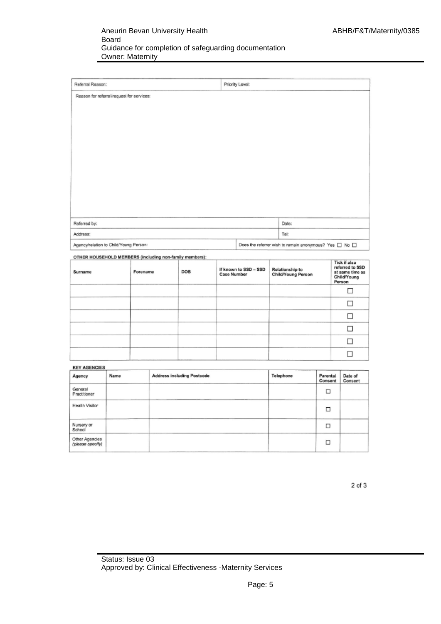| Referral Reason:                          | Priority Level: |                                                                  |
|-------------------------------------------|-----------------|------------------------------------------------------------------|
| Reason for referral/request for services: |                 |                                                                  |
|                                           |                 |                                                                  |
|                                           |                 |                                                                  |
|                                           |                 |                                                                  |
|                                           |                 |                                                                  |
|                                           |                 |                                                                  |
|                                           |                 |                                                                  |
|                                           |                 |                                                                  |
|                                           |                 |                                                                  |
|                                           |                 |                                                                  |
|                                           |                 |                                                                  |
| Referred by:                              |                 | Date:                                                            |
| Address:                                  |                 | Tel:                                                             |
| Agency/relation to Child/Young Person:    |                 | Does the referrer wish to remain anonymous? Yes $\Box$ No $\Box$ |
|                                           |                 |                                                                  |

OTHER HOUSEHOLD MEMBERS (including non-family members):

| Surname | Forename | DOB | If known to SSD - SSD<br><b>Case Number</b> | Relationship to<br>Child/Young Person | <b>Tick if also</b><br>referred to SSD<br>at same time as<br>Child/Young<br>Person |
|---------|----------|-----|---------------------------------------------|---------------------------------------|------------------------------------------------------------------------------------|
|         |          |     |                                             |                                       |                                                                                    |
|         |          |     |                                             |                                       |                                                                                    |
|         |          |     |                                             |                                       |                                                                                    |
|         |          |     |                                             |                                       |                                                                                    |
|         |          |     |                                             |                                       |                                                                                    |
|         |          |     |                                             |                                       |                                                                                    |

| <b>KEY AGENCIES</b>                |      |                                   |           |                     |                    |  |  |
|------------------------------------|------|-----------------------------------|-----------|---------------------|--------------------|--|--|
| Agency                             | Name | <b>Address including Postcode</b> | Telephone | Parental<br>Consent | Date of<br>Consent |  |  |
| General<br>Practitioner            |      |                                   |           | □                   |                    |  |  |
| <b>Health Visitor</b>              |      |                                   |           | □                   |                    |  |  |
| Nursery or<br>School               |      |                                   |           | □                   |                    |  |  |
| Other Agencies<br>(please specify) |      |                                   |           | □                   |                    |  |  |

2 of 3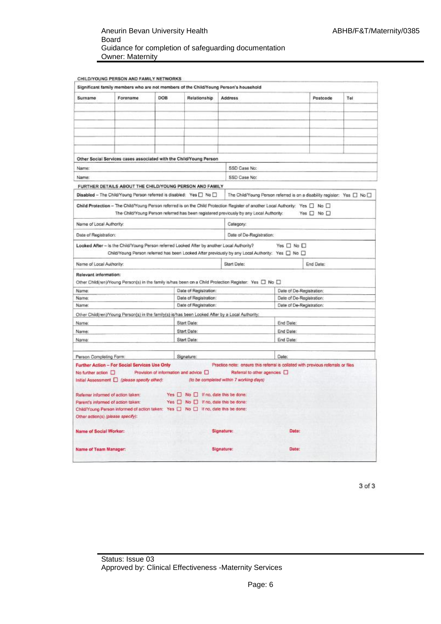#### Aneurin Bevan University Health Board Guidance for completion of safeguarding documentation Owner: Maternity

| Surname                            | Forename                                      | DOB | Relationship                                                                               | <b>Address</b>                                                                                                                          |                                                                             | Postcode   | Tel |  |
|------------------------------------|-----------------------------------------------|-----|--------------------------------------------------------------------------------------------|-----------------------------------------------------------------------------------------------------------------------------------------|-----------------------------------------------------------------------------|------------|-----|--|
|                                    |                                               |     |                                                                                            |                                                                                                                                         |                                                                             |            |     |  |
|                                    |                                               |     |                                                                                            |                                                                                                                                         |                                                                             |            |     |  |
|                                    |                                               |     |                                                                                            |                                                                                                                                         |                                                                             |            |     |  |
|                                    |                                               |     |                                                                                            |                                                                                                                                         |                                                                             |            |     |  |
|                                    |                                               |     |                                                                                            |                                                                                                                                         |                                                                             |            |     |  |
|                                    |                                               |     |                                                                                            |                                                                                                                                         |                                                                             |            |     |  |
|                                    |                                               |     |                                                                                            |                                                                                                                                         |                                                                             |            |     |  |
|                                    |                                               |     | Other Social Services cases associated with the Child/Young Person                         |                                                                                                                                         |                                                                             |            |     |  |
| Name:                              |                                               |     |                                                                                            | SSD Case No:                                                                                                                            |                                                                             |            |     |  |
| Name:                              |                                               |     |                                                                                            | SSD Case No:                                                                                                                            |                                                                             |            |     |  |
|                                    |                                               |     | FURTHER DETAILS ABOUT THE CHILD/YOUNG PERSON AND FAMILY                                    |                                                                                                                                         |                                                                             |            |     |  |
|                                    |                                               |     | Disabled - The Child/Young Person referred is disabled: Yes O No O                         |                                                                                                                                         | The Child/Young Person referred is on a disability register: Yes [ ] No [ ] |            |     |  |
|                                    |                                               |     |                                                                                            |                                                                                                                                         |                                                                             |            |     |  |
|                                    |                                               |     |                                                                                            | Child Protection - The Child/Young Person referred is on the Child Protection Register of another Local Authority: Yes $\Box$ No $\Box$ |                                                                             |            |     |  |
|                                    |                                               |     |                                                                                            | The Child/Young Person referred has been registered previously by any Local Authority:                                                  |                                                                             | Yes O No O |     |  |
| Name of Local Authority:           |                                               |     |                                                                                            | Category:                                                                                                                               |                                                                             |            |     |  |
| Date of Registration:              |                                               |     |                                                                                            | Date of De-Registration:                                                                                                                |                                                                             |            |     |  |
|                                    |                                               |     |                                                                                            |                                                                                                                                         |                                                                             |            |     |  |
|                                    |                                               |     | Looked After - is the Child/Young Person referred Looked After by another Local Authority? | Child/Young Person referred has been Looked After previously by any Local Authority: Yes [ No [ ]                                       | Yes $\Box$ No $\Box$                                                        |            |     |  |
| Name of Local Authority:           |                                               |     |                                                                                            | Start Date:                                                                                                                             |                                                                             | End Date:  |     |  |
| Relevant information:              |                                               |     |                                                                                            |                                                                                                                                         |                                                                             |            |     |  |
|                                    |                                               |     |                                                                                            | Other Child(ren)/Young Person(s) in the family is/has been on a Child Protection Register: Yes [ No [ ]                                 |                                                                             |            |     |  |
| Name:                              |                                               |     | Date of Registration:                                                                      |                                                                                                                                         | Date of De-Registration:                                                    |            |     |  |
| Name:<br>Name:                     |                                               |     | Date of Registration:                                                                      |                                                                                                                                         | Date of De-Registration:<br>Date of De-Registration:                        |            |     |  |
|                                    |                                               |     | Date of Registration:                                                                      |                                                                                                                                         |                                                                             |            |     |  |
|                                    |                                               |     |                                                                                            | Other Child(ren)/Young Person(s) in the family(s) is/has been Looked After by a Local Authority:                                        |                                                                             |            |     |  |
| Name:                              |                                               |     | Start Date:                                                                                |                                                                                                                                         | End Date:                                                                   |            |     |  |
| Name:                              |                                               |     | Start Date:                                                                                |                                                                                                                                         | End Date:                                                                   |            |     |  |
| Name:                              |                                               |     | Start Date:                                                                                |                                                                                                                                         | End Date:                                                                   |            |     |  |
| Person Completing Form:            |                                               |     | Signature:                                                                                 |                                                                                                                                         | Date:                                                                       |            |     |  |
|                                    | Further Action - For Social Services Use Only |     |                                                                                            | Practice note: ensure this referral is collated with previous referrals or files                                                        |                                                                             |            |     |  |
| No further action [                |                                               |     | Provision of information and advice D                                                      | Referral to other agencies [                                                                                                            |                                                                             |            |     |  |
|                                    | Initial Assessment   (please specify other):  |     |                                                                                            | (to be completed within 7 working days)                                                                                                 |                                                                             |            |     |  |
|                                    |                                               |     |                                                                                            |                                                                                                                                         |                                                                             |            |     |  |
| Referrer informed of action taken: |                                               |     | Yes No I If no, date this be done:                                                         |                                                                                                                                         |                                                                             |            |     |  |
| Parent's informed of action taken: |                                               |     | Yes No D If no, date this be done:                                                         |                                                                                                                                         |                                                                             |            |     |  |
|                                    |                                               |     | Child/Young Person informed of action taken: Yes [3] No [3] If no, date this be done:      |                                                                                                                                         |                                                                             |            |     |  |
| Other action(s) (please specify):  |                                               |     |                                                                                            |                                                                                                                                         |                                                                             |            |     |  |
| Name of Social Worker:             |                                               |     |                                                                                            | <b>Signature:</b>                                                                                                                       | Date:                                                                       |            |     |  |
| Name of Team Manager:              |                                               |     |                                                                                            | Signature:                                                                                                                              | Date:                                                                       |            |     |  |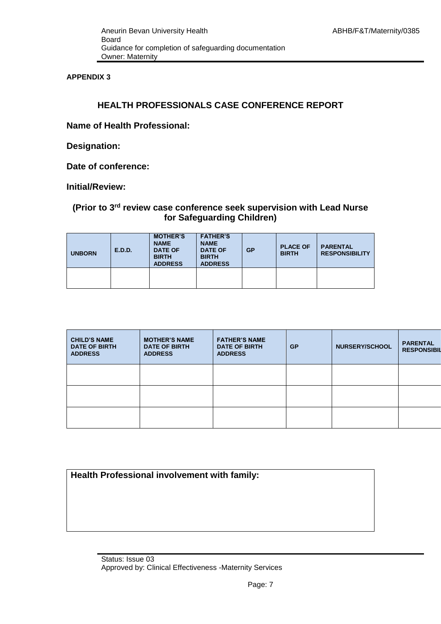**APPENDIX 3**

# **HEALTH PROFESSIONALS CASE CONFERENCE REPORT**

**Name of Health Professional:** 

**Designation:** 

**Date of conference:** 

**Initial/Review:**

# **(Prior to 3rd review case conference seek supervision with Lead Nurse for Safeguarding Children)**

| <b>UNBORN</b> | E.D.D. | <b>MOTHER'S</b><br><b>NAME</b><br><b>DATE OF</b><br><b>BIRTH</b><br><b>ADDRESS</b> | <b>FATHER'S</b><br><b>NAME</b><br><b>DATE OF</b><br><b>BIRTH</b><br><b>ADDRESS</b> | GP | <b>PLACE OF</b><br><b>BIRTH</b> | <b>PARENTAL</b><br><b>RESPONSIBILITY</b> |
|---------------|--------|------------------------------------------------------------------------------------|------------------------------------------------------------------------------------|----|---------------------------------|------------------------------------------|
|               |        |                                                                                    |                                                                                    |    |                                 |                                          |

| <b>CHILD'S NAME</b><br><b>DATE OF BIRTH</b><br><b>ADDRESS</b> | <b>MOTHER'S NAME</b><br><b>DATE OF BIRTH</b><br><b>ADDRESS</b> | <b>FATHER'S NAME</b><br><b>DATE OF BIRTH</b><br><b>ADDRESS</b> | <b>GP</b> | <b>NURSERY/SCHOOL</b> | <b>PARENTAL</b><br><b>RESPONSIBIL</b> |
|---------------------------------------------------------------|----------------------------------------------------------------|----------------------------------------------------------------|-----------|-----------------------|---------------------------------------|
|                                                               |                                                                |                                                                |           |                       |                                       |
|                                                               |                                                                |                                                                |           |                       |                                       |
|                                                               |                                                                |                                                                |           |                       |                                       |

| Health Professional involvement with family: |  |
|----------------------------------------------|--|
|----------------------------------------------|--|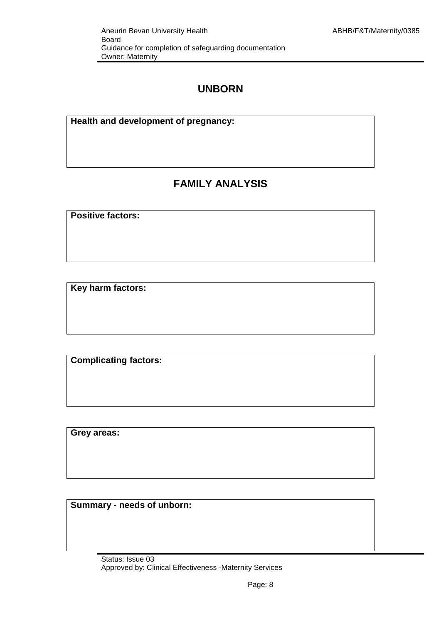# **UNBORN**

**Health and development of pregnancy:**

# **FAMILY ANALYSIS**

**Positive factors:**

**Key harm factors:**

**Complicating factors:**

**Grey areas:**

**Summary - needs of unborn:**

Status: Issue 03 Approved by: Clinical Effectiveness -Maternity Services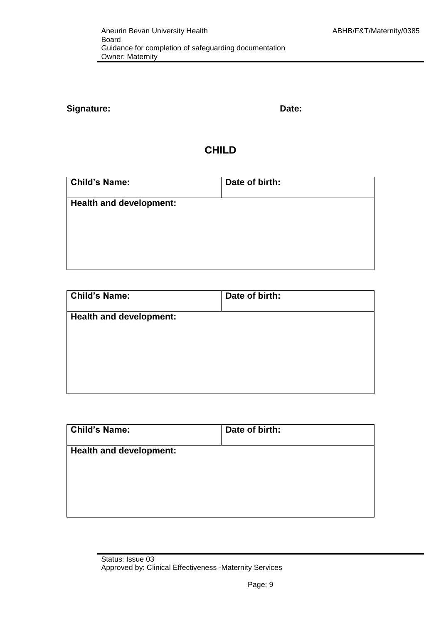# Signature: **Date: Date: Date: Date: Date: Date: Date: Date: Date: Date: Date: Date: Date: Date: Date: Date: Date: Date: Date: Date: Date: Date: Date: Date: Date: Date: Da**

# **CHILD**

| <b>Child's Name:</b>           | Date of birth: |
|--------------------------------|----------------|
| <b>Health and development:</b> |                |
|                                |                |
|                                |                |

| <b>Child's Name:</b>           | Date of birth: |
|--------------------------------|----------------|
| <b>Health and development:</b> |                |
|                                |                |
|                                |                |
|                                |                |

| <b>Child's Name:</b>           | Date of birth: |
|--------------------------------|----------------|
| <b>Health and development:</b> |                |
|                                |                |
|                                |                |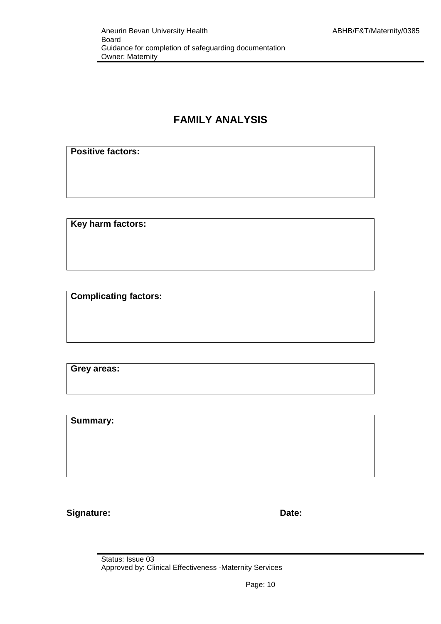# **FAMILY ANALYSIS**

# **Positive factors:**

**Key harm factors:**

**Complicating factors:**

**Grey areas:**

**Summary:**

Signature: **Date: Date: Date: Date: Date: Date: Date: Date: Date: Date: Date: Date: Date: Date: Date: Date: Date: Date: Date: Date: Date: Date: Date: Date: Date: Date: Da** 

Status: Issue 03 Approved by: Clinical Effectiveness -Maternity Services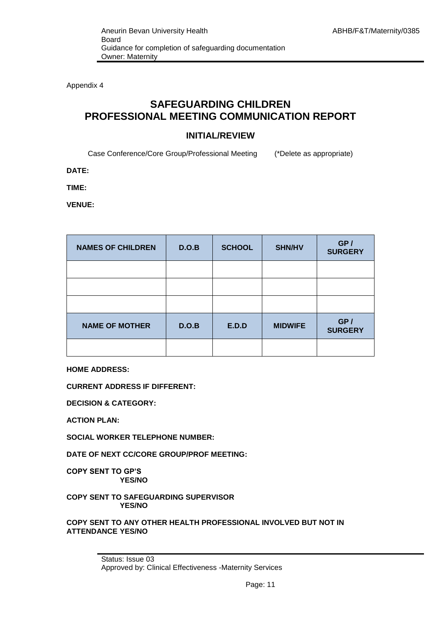Appendix 4

# **SAFEGUARDING CHILDREN PROFESSIONAL MEETING COMMUNICATION REPORT**

## **INITIAL/REVIEW**

Case Conference/Core Group/Professional Meeting (\*Delete as appropriate)

**DATE:**

**TIME:**

**VENUE:**

| <b>NAMES OF CHILDREN</b> | D.O.B | <b>SCHOOL</b> | <b>SHN/HV</b>  | GP/<br><b>SURGERY</b> |
|--------------------------|-------|---------------|----------------|-----------------------|
|                          |       |               |                |                       |
|                          |       |               |                |                       |
|                          |       |               |                |                       |
| <b>NAME OF MOTHER</b>    | D.O.B | E.D.D         | <b>MIDWIFE</b> | GP/<br><b>SURGERY</b> |
|                          |       |               |                |                       |

**HOME ADDRESS:**

**CURRENT ADDRESS IF DIFFERENT:** 

**DECISION & CATEGORY:** 

**ACTION PLAN:** 

**SOCIAL WORKER TELEPHONE NUMBER:** 

**DATE OF NEXT CC/CORE GROUP/PROF MEETING:** 

**COPY SENT TO GP'S YES/NO**

**COPY SENT TO SAFEGUARDING SUPERVISOR YES/NO**

**COPY SENT TO ANY OTHER HEALTH PROFESSIONAL INVOLVED BUT NOT IN ATTENDANCE YES/NO**

> Status: Issue 03 Approved by: Clinical Effectiveness -Maternity Services